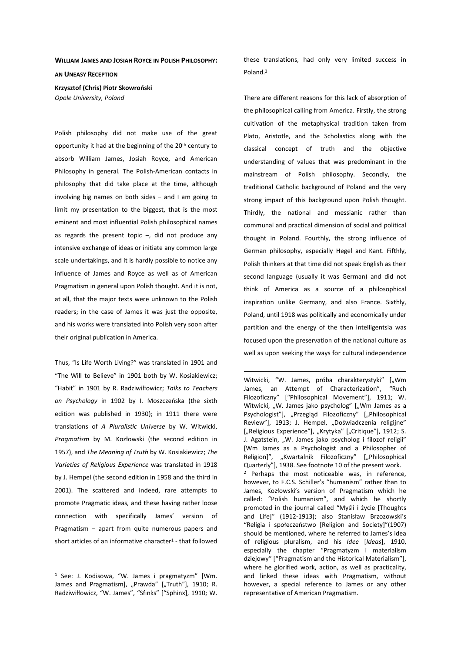## **WILLIAM JAMES AND JOSIAH ROYCE IN POLISH PHILOSOPHY:**

**AN UNEASY RECEPTION**

**Krzysztof (Chris) Piotr Skowroński**  *Opole University, Poland* 

Polish philosophy did not make use of the great opportunity it had at the beginning of the 20<sup>th</sup> century to absorb William James, Josiah Royce, and American Philosophy in general. The Polish-American contacts in philosophy that did take place at the time, although involving big names on both sides – and I am going to limit my presentation to the biggest, that is the most eminent and most influential Polish philosophical names as regards the present topic  $-$ , did not produce any intensive exchange of ideas or initiate any common large scale undertakings, and it is hardly possible to notice any influence of James and Royce as well as of American Pragmatism in general upon Polish thought. And it is not, at all, that the major texts were unknown to the Polish readers; in the case of James it was just the opposite, and his works were translated into Polish very soon after their original publication in America.

Thus, "Is Life Worth Living?" was translated in 1901 and "The Will to Believe" in 1901 both by W. Kosiakiewicz; "Habit" in 1901 by R. Radziwiłłowicz; *Talks to Teachers on Psychology* in 1902 by I. Moszczeńska (the sixth edition was published in 1930); in 1911 there were translations of *A Pluralistic Universe* by W. Witwicki, *Pragmatism* by M. Kozłowski (the second edition in 1957), and *The Meaning of Truth* by W. Kosiakiewicz; *The Varieties of Religious Experience* was translated in 1918 by J. Hempel (the second edition in 1958 and the third in 2001). The scattered and indeed, rare attempts to promote Pragmatic ideas, and these having rather loose connection with specifically James' version of Pragmatism – apart from quite numerous papers and short articles of an informative character<sup>1</sup> - that followed

 $\overline{a}$ 

these translations, had only very limited success in Poland.<sup>2</sup>

There are different reasons for this lack of absorption of the philosophical calling from America. Firstly, the strong cultivation of the metaphysical tradition taken from Plato, Aristotle, and the Scholastics along with the classical concept of truth and the objective understanding of values that was predominant in the mainstream of Polish philosophy. Secondly, the traditional Catholic background of Poland and the very strong impact of this background upon Polish thought. Thirdly, the national and messianic rather than communal and practical dimension of social and political thought in Poland. Fourthly, the strong influence of German philosophy, especially Hegel and Kant. Fifthly, Polish thinkers at that time did not speak English as their second language (usually it was German) and did not think of America as a source of a philosophical inspiration unlike Germany, and also France. Sixthly, Poland, until 1918 was politically and economically under partition and the energy of the then intelligentsia was focused upon the preservation of the national culture as well as upon seeking the ways for cultural independence

<sup>&</sup>lt;sup>1</sup> See: J. Kodisowa, "W. James i pragmatyzm" [Wm. James and Pragmatism], "Prawda" ["Truth"], 1910; R. Radziwiłłowicz, "W. James", "Sfinks" ["Sphinx], 1910; W.

Witwicki, "W. James, próba charakterystyki" ["Wm James, an Attempt of Characterization", "Ruch Filozoficzny" ["Philosophical Movement"], 1911; W. Witwicki, "W. James jako psycholog" ["Wm James as a Psychologist"], "Przegląd Filozoficzny" ["Philosophical Review"], 1913; J. Hempel, "Doświadczenia religijne" ["Religious Experience"], "Krytyka" ["Critique"], 1912; S. J. Agatstein, "W. James jako psycholog i filozof religii" [Wm James as a Psychologist and a Philosopher of Religion]", "Kwartalnik Filozoficzny" ["Philosophical Quarterly"], 1938. See footnote 10 of the present work. <sup>2</sup> Perhaps the most noticeable was, in reference, however, to F.C.S. Schiller's "humanism" rather than to James, Kozłowski's version of Pragmatism which he called: "Polish humanism", and which he shortly promoted in the journal called "Myśli i życie [Thoughts and Life]" (1912-1913); also Stanisław Brzozowski's "Religia i społeczeństwo [Religion and Society]"(1907) should be mentioned, where he referred to James's idea of religious pluralism, and his *Idee* [*Ideas*], 1910, especially the chapter "Pragmatyzm i materialism dziejowy" ["Pragmatism and the Historical Materialism"], where he glorified work, action, as well as practicality, and linked these ideas with Pragmatism, without however, a special reference to James or any other representative of American Pragmatism.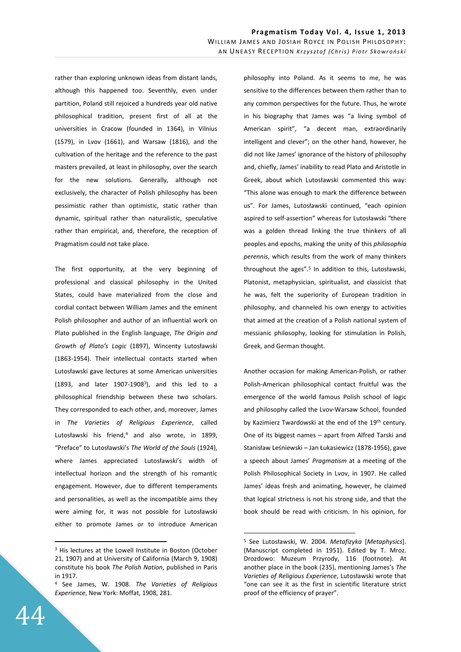rather than exploring unknown ideas from distant lands, although this happened too. Seventhly, even under partition, Poland still rejoiced a hundreds year old native philosophical tradition, present first of all at the universities in Cracow (founded in 1364), in Vilnius (1579), in Lvov (1661), and Warsaw (1816), and the cultivation of the heritage and the reference to the past masters prevailed, at least in philosophy, over the search for the new solutions. Generally, although not exclusively, the character of Polish philosophy has been pessimistic rather than optimistic, static rather than dynamic, spiritual rather than naturalistic, speculative rather than empirical, and, therefore, the reception of Pragmatism could not take place.

The first opportunity, at the very beginning of professional and classical philosophy in the United States, could have materialized from the close and cordial contact between William James and the eminent Polish philosopher and author of an influential work on Plato published in the English language, *The Origin and Growth of Plato's Logic* (1897), Wincenty Lutosławski (1863-1954). Their intellectual contacts started when Lutosławski gave lectures at some American universities (1893, and later 1907-1908<sup>3</sup> ), and this led to a philosophical friendship between these two scholars. They corresponded to each other, and, moreover, James in *The Varieties of Religious Experience*, called Lutosławski his friend,<sup>4</sup> and also wrote, in 1899, "Preface" to Lutosławski's *The World of the Souls* (1924), where James appreciated Lutosławski's width of intellectual horizon and the strength of his romantic engagement. However, due to different temperaments and personalities, as well as the incompatible aims they were aiming for, it was not possible for Lutosławski either to promote James or to introduce American philosophy into Poland. As it seems to me, he was sensitive to the differences between them rather than to any common perspectives for the future. Thus, he wrote in his biography that James was "a living symbol of American spirit", "a decent man, extraordinarily intelligent and clever"; on the other hand, however, he did not like James' ignorance of the history of philosophy and, chiefly, James' inability to read Plato and Aristotle in Greek, about which Lutosławski commented this way: "This alone was enough to mark the difference between us". For James, Lutosławski continued, "each opinion aspired to self-assertion" whereas for Lutosławski "there was a golden thread linking the true thinkers of all peoples and epochs, making the unity of this *philosophia perennis*, which results from the work of many thinkers throughout the ages".<sup>5</sup> In addition to this, Lutosławski, Platonist, metaphysician, spiritualist, and classicist that he was, felt the superiority of European tradition in philosophy, and channeled his own energy to activities that aimed at the creation of a Polish national system of messianic philosophy, looking for stimulation in Polish, Greek, and German thought.

Another occasion for making American-Polish, or rather Polish-American philosophical contact fruitful was the emergence of the world famous Polish school of logic and philosophy called the Lvov-Warsaw School, founded by Kazimierz Twardowski at the end of the 19<sup>th</sup> century. One of its biggest names – apart from Alfred Tarski and Stanisław Leśniewski – Jan Łukasiewicz (1878-1956), gave a speech about James' *Pragmatism* at a meeting of the Polish Philosophical Society in Lvov, in 1907. He called James' ideas fresh and animating, however, he claimed that logical strictness is not his strong side, and that the book should be read with criticism. In his opinion, for

 $\overline{a}$ 

<sup>&</sup>lt;sup>3</sup> His lectures at the Lowell Institute in Boston (October 21, 1907) and at University of California (March 9, 1908) constitute his book *The Polish Nation*, published in Paris in 1917.

<sup>4</sup> See James, W. 1908. *The Varieties of Religious Experience*, New York: Moffat, 1908, 281.

<sup>5</sup> See Lutosławski, W. 2004. *Metafizyka* [*Metaphysics*]. (Manuscript completed in 1951). Edited by T. Mroz. Drozdowo: Muzeum Przyrody, 116 (footnote). At another place in the book (235), mentioning James's *The Varieties of Religious Experience*, Lutosławski wrote that "one can see it as the first in scientific literature strict proof of the efficiency of prayer".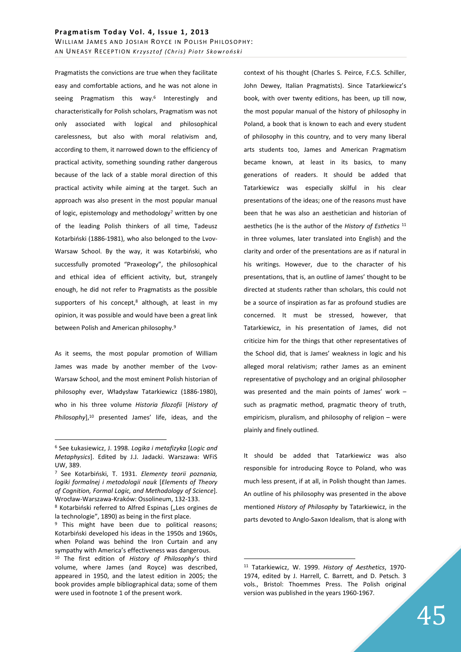Pragmatists the convictions are true when they facilitate easy and comfortable actions, and he was not alone in seeing Pragmatism this way.<sup>6</sup> Interestingly and characteristically for Polish scholars, Pragmatism was not only associated with logical and philosophical carelessness, but also with moral relativism and, according to them, it narrowed down to the efficiency of practical activity, something sounding rather dangerous because of the lack of a stable moral direction of this practical activity while aiming at the target. Such an approach was also present in the most popular manual of logic, epistemology and methodology<sup>7</sup> written by one of the leading Polish thinkers of all time, Tadeusz Kotarbiński (1886-1981), who also belonged to the Lvov-Warsaw School. By the way, it was Kotarbiński, who successfully promoted "Praxeology", the philosophical and ethical idea of efficient activity, but, strangely enough, he did not refer to Pragmatists as the possible supporters of his concept,<sup>8</sup> although, at least in my opinion, it was possible and would have been a great link between Polish and American philosophy.<sup>9</sup>

As it seems, the most popular promotion of William James was made by another member of the Lvov-Warsaw School, and the most eminent Polish historian of philosophy ever, Władysław Tatarkiewicz (1886-1980), who in his three volume *Historia filozofii* [*History of*  Philosophy],<sup>10</sup> presented James' life, ideas, and the

 $\overline{a}$ 

context of his thought (Charles S. Peirce, F.C.S. Schiller, John Dewey, Italian Pragmatists). Since Tatarkiewicz's book, with over twenty editions, has been, up till now, the most popular manual of the history of philosophy in Poland, a book that is known to each and every student of philosophy in this country, and to very many liberal arts students too, James and American Pragmatism became known, at least in its basics, to many generations of readers. It should be added that Tatarkiewicz was especially skilful in his clear presentations of the ideas; one of the reasons must have been that he was also an aesthetician and historian of aesthetics (he is the author of the *History of Esthetics* <sup>11</sup> in three volumes, later translated into English) and the clarity and order of the presentations are as if natural in his writings. However, due to the character of his presentations, that is, an outline of James' thought to be directed at students rather than scholars, this could not be a source of inspiration as far as profound studies are concerned. It must be stressed, however, that Tatarkiewicz, in his presentation of James, did not criticize him for the things that other representatives of the School did, that is James' weakness in logic and his alleged moral relativism; rather James as an eminent representative of psychology and an original philosopher was presented and the main points of James' work – such as pragmatic method, pragmatic theory of truth, empiricism, pluralism, and philosophy of religion – were plainly and finely outlined.

It should be added that Tatarkiewicz was also responsible for introducing Royce to Poland, who was much less present, if at all, in Polish thought than James. An outline of his philosophy was presented in the above mentioned *History of Philosophy* by Tatarkiewicz, in the parts devoted to Anglo-Saxon Idealism, that is along with

<sup>6</sup> See Łukasiewicz, J. 1998. *Logika i metafizyka* [*Logic and Metaphysics*]. Edited by J.J. Jadacki. Warszawa: WFiS UW, 389.

<sup>7</sup> See Kotarbiński, T. 1931. *Elementy teorii poznania, logiki formalnej i metodologii nauk* [*Elements of Theory of Cognition, Formal Logic, and Methodology of Science*]. Wrocław-Warszawa-Kraków: Ossolineum, 132-133.

<sup>&</sup>lt;sup>8</sup> Kotarbiński referred to Alfred Espinas ("Les orgines de la technologie", 1890) as being in the first place.

<sup>&</sup>lt;sup>9</sup> This might have been due to political reasons; Kotarbiński developed his ideas in the 1950s and 1960s, when Poland was behind the Iron Curtain and any sympathy with America's effectiveness was dangerous. <sup>10</sup> The first edition of *History of Philosophy*'s third volume, where James (and Royce) was described, appeared in 1950, and the latest edition in 2005; the book provides ample bibliographical data; some of them were used in footnote 1 of the present work.

<sup>11</sup> Tatarkiewicz, W. 1999. *History of Aesthetics*, 1970- 1974, edited by J. Harrell, C. Barrett, and D. Petsch. 3 vols., Bristol: Thoemmes Press. The Polish original version was published in the years 1960-1967.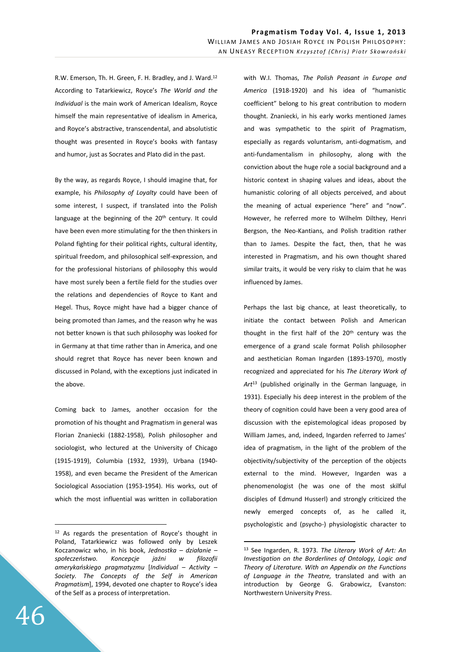R.W. Emerson, Th. H. Green, F. H. Bradley, and J. Ward.<sup>12</sup> According to Tatarkiewicz, Royce's *The World and the Individual* is the main work of American Idealism, Royce himself the main representative of idealism in America, and Royce's abstractive, transcendental, and absolutistic thought was presented in Royce's books with fantasy and humor, just as Socrates and Plato did in the past.

By the way, as regards Royce, I should imagine that, for example, his *Philosophy of Loyalty* could have been of some interest, I suspect, if translated into the Polish language at the beginning of the 20<sup>th</sup> century. It could have been even more stimulating for the then thinkers in Poland fighting for their political rights, cultural identity, spiritual freedom, and philosophical self-expression, and for the professional historians of philosophy this would have most surely been a fertile field for the studies over the relations and dependencies of Royce to Kant and Hegel. Thus, Royce might have had a bigger chance of being promoted than James, and the reason why he was not better known is that such philosophy was looked for in Germany at that time rather than in America, and one should regret that Royce has never been known and discussed in Poland, with the exceptions just indicated in the above.

Coming back to James, another occasion for the promotion of his thought and Pragmatism in general was Florian Znaniecki (1882-1958), Polish philosopher and sociologist, who lectured at the University of Chicago (1915-1919), Columbia (1932, 1939), Urbana (1940- 1958), and even became the President of the American Sociological Association (1953-1954). His works, out of which the most influential was written in collaboration

with W.I. Thomas, *The Polish Peasant in Europe and America* (1918-1920) and his idea of "humanistic coefficient" belong to his great contribution to modern thought. Znaniecki, in his early works mentioned James and was sympathetic to the spirit of Pragmatism, especially as regards voluntarism, anti-dogmatism, and anti-fundamentalism in philosophy, along with the conviction about the huge role a social background and a historic context in shaping values and ideas, about the humanistic coloring of all objects perceived, and about the meaning of actual experience "here" and "now". However, he referred more to Wilhelm Dilthey, Henri Bergson, the Neo-Kantians, and Polish tradition rather than to James. Despite the fact, then, that he was interested in Pragmatism, and his own thought shared similar traits, it would be very risky to claim that he was influenced by James.

Perhaps the last big chance, at least theoretically, to initiate the contact between Polish and American thought in the first half of the 20<sup>th</sup> century was the emergence of a grand scale format Polish philosopher and aesthetician Roman Ingarden (1893-1970), mostly recognized and appreciated for his *The Literary Work of Art*<sup>13</sup> (published originally in the German language, in 1931). Especially his deep interest in the problem of the theory of cognition could have been a very good area of discussion with the epistemological ideas proposed by William James, and, indeed, Ingarden referred to James' idea of pragmatism, in the light of the problem of the objectivity/subjectivity of the perception of the objects external to the mind. However, Ingarden was a phenomenologist (he was one of the most skilful disciples of Edmund Husserl) and strongly criticized the newly emerged concepts of, as he called it, psychologistic and (psycho-) physiologistic character to

 $\overline{a}$ 

<sup>12</sup> As regards the presentation of Royce's thought in Poland, Tatarkiewicz was followed only by Leszek Koczanowicz who, in his book, *Jednostka – działanie – społeczeństwo. Koncepcje jaźni w filozofii amerykańskiego pragmatyzmu* [*Individual – Activity – Society. The Concepts of the Self in American Pragmatism*], 1994, devoted one chapter to Royce's idea of the Self as a process of interpretation.

<sup>13</sup> See Ingarden, R. 1973. *The Literary Work of Art: An Investigation on the Borderlines of Ontology, Logic and Theory of Literature. With an Appendix on the Functions of Language in the Theatre,* translated and with an introduction by George G. Grabowicz, Evanston: Northwestern University Press.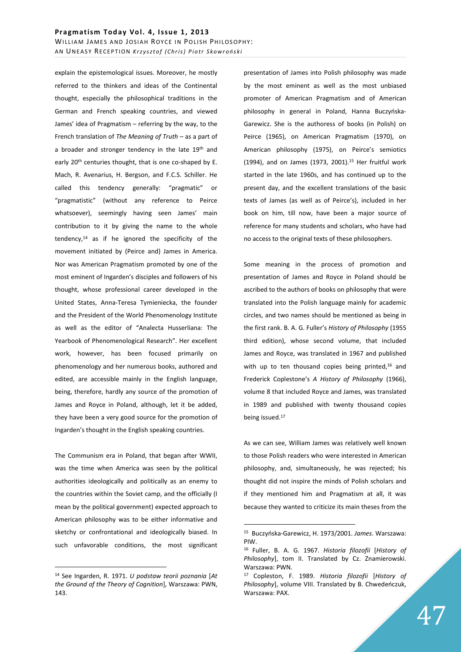explain the epistemological issues. Moreover, he mostly referred to the thinkers and ideas of the Continental thought, especially the philosophical traditions in the German and French speaking countries, and viewed James' idea of Pragmatism – referring by the way, to the French translation of *The Meaning of Truth* – as a part of a broader and stronger tendency in the late 19<sup>th</sup> and early 20<sup>th</sup> centuries thought, that is one co-shaped by E. Mach, R. Avenarius, H. Bergson, and F.C.S. Schiller. He called this tendency generally: "pragmatic" or "pragmatistic" (without any reference to Peirce whatsoever), seemingly having seen James' main contribution to it by giving the name to the whole tendency,<sup>14</sup> as if he ignored the specificity of the movement initiated by (Peirce and) James in America. Nor was American Pragmatism promoted by one of the most eminent of Ingarden's disciples and followers of his thought, whose professional career developed in the United States, Anna-Teresa Tymieniecka, the founder and the President of the World Phenomenology Institute as well as the editor of "Analecta Husserliana: The Yearbook of Phenomenological Research". Her excellent work, however, has been focused primarily on phenomenology and her numerous books, authored and edited, are accessible mainly in the English language, being, therefore, hardly any source of the promotion of James and Royce in Poland, although, let it be added, they have been a very good source for the promotion of Ingarden's thought in the English speaking countries.

The Communism era in Poland, that began after WWII, was the time when America was seen by the political authorities ideologically and politically as an enemy to the countries within the Soviet camp, and the officially (I mean by the political government) expected approach to American philosophy was to be either informative and sketchy or confrontational and ideologically biased. In such unfavorable conditions, the most significant

 $\overline{a}$ 

presentation of James into Polish philosophy was made by the most eminent as well as the most unbiased promoter of American Pragmatism and of American philosophy in general in Poland, Hanna Buczyńska-Garewicz. She is the authoress of books (in Polish) on Peirce (1965), on American Pragmatism (1970), on American philosophy (1975), on Peirce's semiotics (1994), and on James (1973, 2001).<sup>15</sup> Her fruitful work started in the late 1960s, and has continued up to the present day, and the excellent translations of the basic texts of James (as well as of Peirce's), included in her book on him, till now, have been a major source of reference for many students and scholars, who have had no access to the original texts of these philosophers.

Some meaning in the process of promotion and presentation of James and Royce in Poland should be ascribed to the authors of books on philosophy that were translated into the Polish language mainly for academic circles, and two names should be mentioned as being in the first rank. B. A. G. Fuller's *History of Philosophy* (1955 third edition), whose second volume, that included James and Royce, was translated in 1967 and published with up to ten thousand copies being printed,<sup>16</sup> and Frederick Coplestone's *A History of Philosophy* (1966), volume 8 that included Royce and James, was translated in 1989 and published with twenty thousand copies being issued.<sup>17</sup>

As we can see, William James was relatively well known to those Polish readers who were interested in American philosophy, and, simultaneously, he was rejected; his thought did not inspire the minds of Polish scholars and if they mentioned him and Pragmatism at all, it was because they wanted to criticize its main theses from the

<sup>14</sup> See Ingarden, R. 1971. *U podstaw teorii poznania* [*At the Ground of the Theory of Cognition*], Warszawa: PWN, 143.

<sup>15</sup> Buczyńska-Garewicz, H. 1973/2001. *James*. Warszawa: PIW.

<sup>16</sup> Fuller, B. A. G. 1967. *Historia filozofii* [*History of Philosophy*], tom II. Translated by Cz. Znamierowski. Warszawa: PWN.

<sup>17</sup> Copleston, F. 1989. *Historia filozofii* [*History of Philosophy*], volume VIII. Translated by B. Chwedeńczuk, Warszawa: PAX.